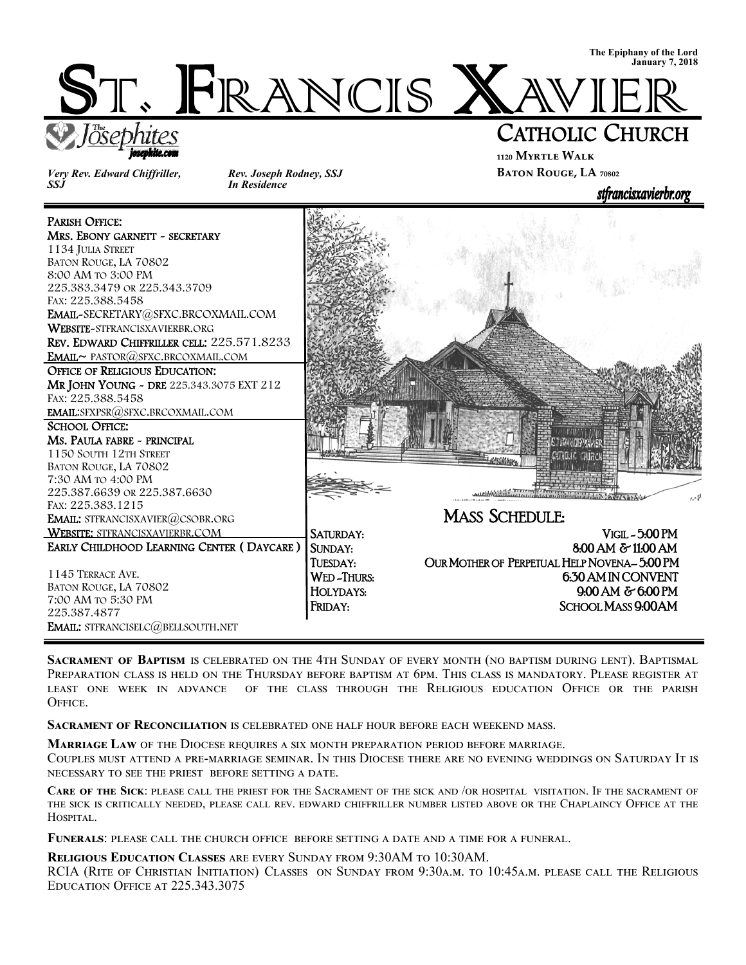

*Very Rev. Edward Chiffriller, SSJ* 

ioseohite.com

Ī

*Rev. Joseph Rodney, SSJ In Residence* 

### **₁₁₂₀ Myrtle Walk BATON ROUGE, LA**  $70802$

stfrancisxavierbr.org

PARISH OFFICE: MRS. EBONY GARNETT ~ SECRETARY 1134 JULIA STREET BATON ROUGE, LA 70802 8:00 AM TO 3:00 PM 225.383.3479 OR 225.343.3709 FAX: 225.388.5458 EMAIL-SECRETARY@SFXC.BRCOXMAIL.COM WEBSITE-STFRANCISXAVIERBR.ORG REV. EDWARD CHIFFRILLER CELL: 225.571.8233 EMAIL~ PASTOR@SFXC.BRCOXMAIL.COM OFFICE OF RELIGIOUS EDUCATION: MR JOHN YOUNG - DRE 225.343.3075 EXT 212 FAX: 225.388.5458 EMAIL:SFXPSR@SFXC.BRCOXMAIL.COM SCHOOL OFFICE: Ms. PAULA FABRE ~ PRINCIPAL 1150 SOUTH 12TH STREET **S.T. PAIN CITY Y. VIER** CATHOLIC CHURC BATON ROUGE, LA 70802 7:30 AM TO 4:00 PM 225.387.6639 OR 225.387.6630  $a^4$ FAX: 225.383.1215 MASS SCHEDULE: EMAIL: STFRANCISXAVIER@CSOBR.ORG WEBSITE: STFRANCISXAVIERBR.COM SATURDAY: VIGIL - 5:00 PM EARLY CHILDHOOD LEARNING CENTER ( DAYCARE ) SUNDAY: 8:00 AM & 11:00 AM TUESDAY: OUR MOTHER OF PERPETUAL HELP NOVENA– 5:00 PM 1145 TERRACE AVE. WED-THURS: 650 AM IN CONVENT BATON ROUGE, LA 70802 HOLYDAYS: 9:00 AM & 6:00 PM 7:00 AM TO 5:30 PM FRIDAY: SCHOOL MASS 9:00AM 225.387.4877 EMAIL: STFRANCISELC@BELLSOUTH.NET

SACRAMENT OF BAPTISM IS CELEBRATED ON THE 4TH SUNDAY OF EVERY MONTH (NO BAPTISM DURING LENT). BAPTISMAL Preparation class is held on the Thursday before baptism at 6pm. This class is mandatory. Please register at LEAST ONE WEEK IN ADVANCE OF THE CLASS THROUGH THE RELIGIOUS EDUCATION OFFICE OR THE PARISH OFFICE.

SACRAMENT OF RECONCILIATION IS CELEBRATED ONE HALF HOUR BEFORE EACH WEEKEND MASS.

**MARRIAGE LAW** OF THE DIOCESE REQUIRES A SIX MONTH PREPARATION PERIOD BEFORE MARRIAGE.

COUPLES MUST ATTEND A PRE-MARRIAGE SEMINAR. IN THIS DIOCESE THERE ARE NO EVENING WEDDINGS ON SATURDAY IT IS NECESSARY TO SEE THE PRIEST BEFORE SETTING A DATE.

CARE OF THE SICK: PLEASE CALL THE PRIEST FOR THE SACRAMENT OF THE SICK AND /OR HOSPITAL VISITATION. IF THE SACRAMENT OF THE SICK IS CRITICALLY NEEDED, PLEASE CALL REV. EDWARD CHIFFRILLER NUMBER LISTED ABOVE OR THE CHAPLAINCY OFFICE AT THE HOSPITAL.

FUNERALS: PLEASE CALL THE CHURCH OFFICE BEFORE SETTING A DATE AND A TIME FOR A FUNERAL.

**RELIGIOUS EDUCATION CLASSES ARE EVERY SUNDAY FROM 9:30AM TO 10:30AM.** 

RCIA (RITE OF CHRISTIAN INITIATION) CLASSES ON SUNDAY FROM 9:30A.M. TO 10:45A.M. PLEASE CALL THE RELIGIOUS EDUCATION OFFICE AT 225.343.3075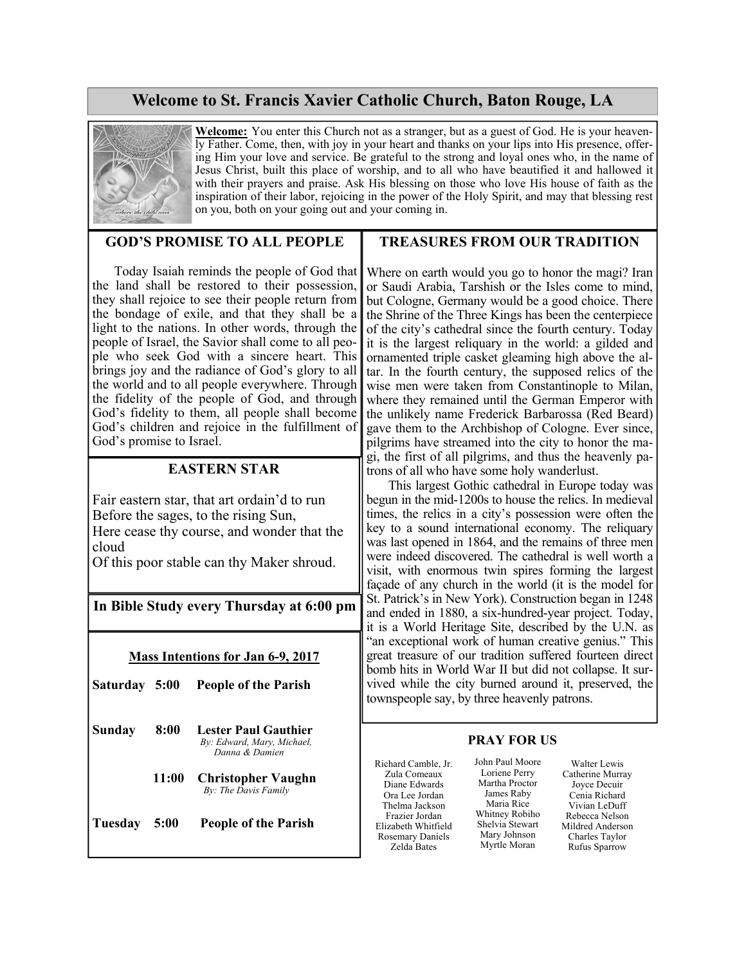## **Welcome to St. Francis Xavier Catholic Church, Baton Rouge, LA**



**Welcome:** You enter this Church not as a stranger, but as a guest of God. He is your heavenly Father. Come, then, with joy in your heart and thanks on your lips into His presence, offering Him your love and service. Be grateful to the strong and loyal ones who, in the name of Jesus Christ, built this place of worship, and to all who have beautified it and hallowed it with their prayers and praise. Ask His blessing on those who love His house of faith as the inspiration of their labor, rejoicing in the power of the Holy Spirit, and may that blessing rest on you, both on your going out and your coming in.

### **GOD'S PROMISE TO ALL PEOPLE**

 Today Isaiah reminds the people of God that the land shall be restored to their possession, they shall rejoice to see their people return from the bondage of exile, and that they shall be a light to the nations. In other words, through the people of Israel, the Savior shall come to all people who seek God with a sincere heart. This brings joy and the radiance of God's glory to all the world and to all people everywhere. Through the fidelity of the people of God, and through God's fidelity to them, all people shall become God's children and rejoice in the fulfillment of God's promise to Israel.

### **EASTERN STAR**

Fair eastern star, that art ordain'd to run Before the sages, to the rising Sun, Here cease thy course, and wonder that the cloud

Of this poor stable can thy Maker shroud.

### **In Bible Study every Thursday at 6:00 pm**

#### **Mass Intentions for Jan 6-9, 2017**

- **Saturday 5:00 People of the Parish**
- **Sunday 8:00 Lester Paul Gauthier** *By: Edward, Mary, Michael, Danna & Damien* 
	- **11:00 Christopher Vaughn** *By: The Davis Family*

**Tuesday 5:00 People of the Parish** 

### **TREASURES FROM OUR TRADITION**

Where on earth would you go to honor the magi? Iran or Saudi Arabia, Tarshish or the Isles come to mind, but Cologne, Germany would be a good choice. There the Shrine of the Three Kings has been the centerpiece of the city's cathedral since the fourth century. Today it is the largest reliquary in the world: a gilded and ornamented triple casket gleaming high above the altar. In the fourth century, the supposed relics of the wise men were taken from Constantinople to Milan, where they remained until the German Emperor with the unlikely name Frederick Barbarossa (Red Beard) gave them to the Archbishop of Cologne. Ever since, pilgrims have streamed into the city to honor the magi, the first of all pilgrims, and thus the heavenly patrons of all who have some holy wanderlust.

 This largest Gothic cathedral in Europe today was begun in the mid-1200s to house the relics. In medieval times, the relics in a city's possession were often the key to a sound international economy. The reliquary was last opened in 1864, and the remains of three men were indeed discovered. The cathedral is well worth a visit, with enormous twin spires forming the largest façade of any church in the world (it is the model for St. Patrick's in New York). Construction began in 1248 and ended in 1880, a six-hundred-year project. Today, it is a World Heritage Site, described by the U.N. as "an exceptional work of human creative genius." This great treasure of our tradition suffered fourteen direct bomb hits in World War II but did not collapse. It survived while the city burned around it, preserved, the townspeople say, by three heavenly patrons.

#### **PRAY FOR US**

Richard Camble, Jr. Zula Comeaux Diane Edwards Ora Lee Jordan Thelma Jackson Frazier Jordan Elizabeth Whitfield Rosemary Daniels Zelda Bates

John Paul Moore Loriene Perry Martha Proctor James Raby Maria Rice Whitney Robiho Shelvia Stewart Mary Johnson Myrtle Moran

Walter Lewis Catherine Murray Joyce Decuir Cenia Richard Vivian LeDuff Rebecca Nelson Mildred Anderson Charles Taylor Rufus Sparrow